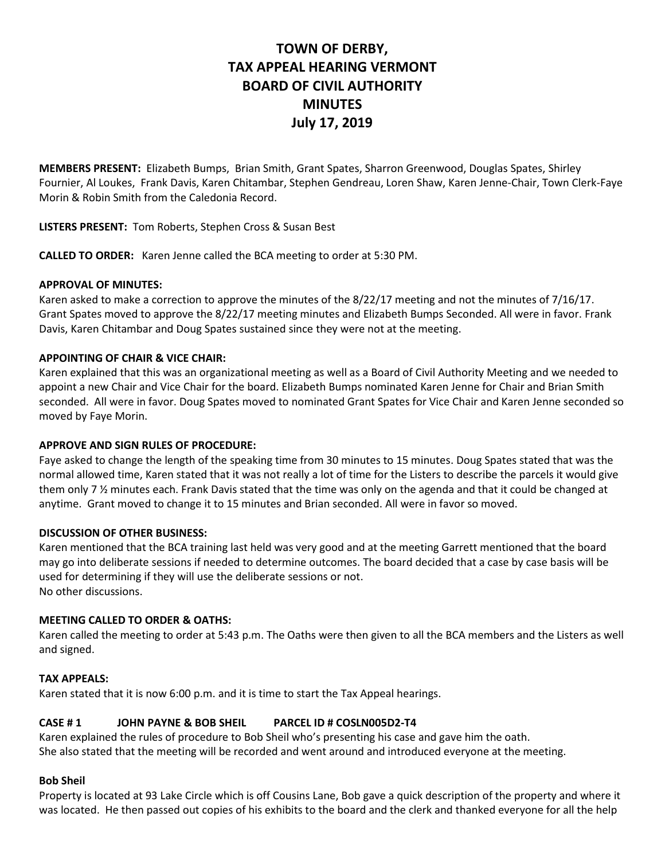# **TOWN OF DERBY, TAX APPEAL HEARING VERMONT BOARD OF CIVIL AUTHORITY MINUTES July 17, 2019**

**MEMBERS PRESENT:** Elizabeth Bumps, Brian Smith, Grant Spates, Sharron Greenwood, Douglas Spates, Shirley Fournier, Al Loukes, Frank Davis, Karen Chitambar, Stephen Gendreau, Loren Shaw, Karen Jenne-Chair, Town Clerk-Faye Morin & Robin Smith from the Caledonia Record.

**LISTERS PRESENT:** Tom Roberts, Stephen Cross & Susan Best

**CALLED TO ORDER:** Karen Jenne called the BCA meeting to order at 5:30 PM.

# **APPROVAL OF MINUTES:**

Karen asked to make a correction to approve the minutes of the 8/22/17 meeting and not the minutes of 7/16/17. Grant Spates moved to approve the 8/22/17 meeting minutes and Elizabeth Bumps Seconded. All were in favor. Frank Davis, Karen Chitambar and Doug Spates sustained since they were not at the meeting.

# **APPOINTING OF CHAIR & VICE CHAIR:**

Karen explained that this was an organizational meeting as well as a Board of Civil Authority Meeting and we needed to appoint a new Chair and Vice Chair for the board. Elizabeth Bumps nominated Karen Jenne for Chair and Brian Smith seconded. All were in favor. Doug Spates moved to nominated Grant Spates for Vice Chair and Karen Jenne seconded so moved by Faye Morin.

## **APPROVE AND SIGN RULES OF PROCEDURE:**

Faye asked to change the length of the speaking time from 30 minutes to 15 minutes. Doug Spates stated that was the normal allowed time, Karen stated that it was not really a lot of time for the Listers to describe the parcels it would give them only 7 ½ minutes each. Frank Davis stated that the time was only on the agenda and that it could be changed at anytime. Grant moved to change it to 15 minutes and Brian seconded. All were in favor so moved.

## **DISCUSSION OF OTHER BUSINESS:**

Karen mentioned that the BCA training last held was very good and at the meeting Garrett mentioned that the board may go into deliberate sessions if needed to determine outcomes. The board decided that a case by case basis will be used for determining if they will use the deliberate sessions or not. No other discussions.

## **MEETING CALLED TO ORDER & OATHS:**

Karen called the meeting to order at 5:43 p.m. The Oaths were then given to all the BCA members and the Listers as well and signed.

## **TAX APPEALS:**

Karen stated that it is now 6:00 p.m. and it is time to start the Tax Appeal hearings.

# **CASE # 1 JOHN PAYNE & BOB SHEIL PARCEL ID # COSLN005D2-T4**

Karen explained the rules of procedure to Bob Sheil who's presenting his case and gave him the oath. She also stated that the meeting will be recorded and went around and introduced everyone at the meeting.

## **Bob Sheil**

Property is located at 93 Lake Circle which is off Cousins Lane, Bob gave a quick description of the property and where it was located. He then passed out copies of his exhibits to the board and the clerk and thanked everyone for all the help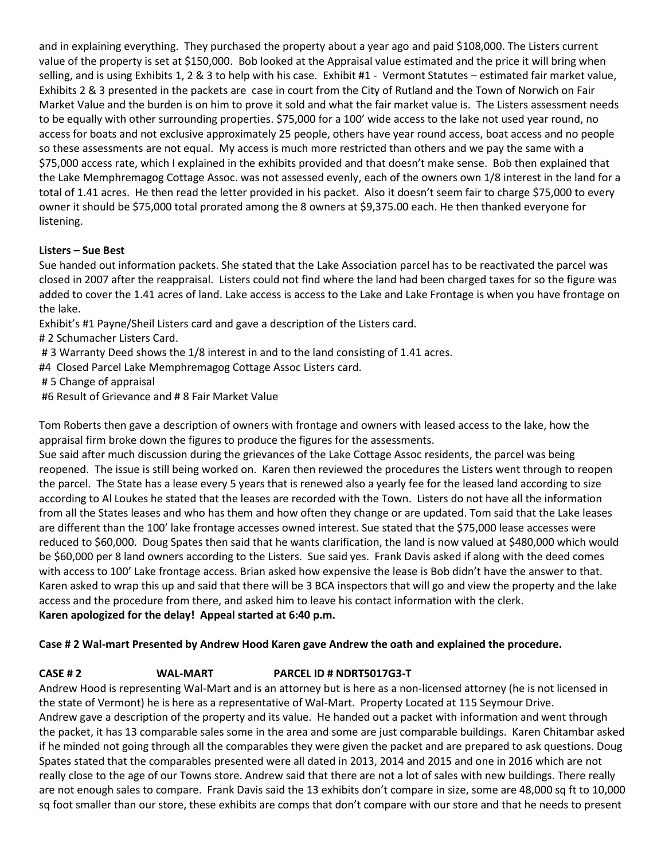and in explaining everything. They purchased the property about a year ago and paid \$108,000. The Listers current value of the property is set at \$150,000. Bob looked at the Appraisal value estimated and the price it will bring when selling, and is using Exhibits 1, 2 & 3 to help with his case. Exhibit #1 - Vermont Statutes – estimated fair market value, Exhibits 2 & 3 presented in the packets are case in court from the City of Rutland and the Town of Norwich on Fair Market Value and the burden is on him to prove it sold and what the fair market value is. The Listers assessment needs to be equally with other surrounding properties. \$75,000 for a 100' wide access to the lake not used year round, no access for boats and not exclusive approximately 25 people, others have year round access, boat access and no people so these assessments are not equal. My access is much more restricted than others and we pay the same with a \$75,000 access rate, which I explained in the exhibits provided and that doesn't make sense. Bob then explained that the Lake Memphremagog Cottage Assoc. was not assessed evenly, each of the owners own 1/8 interest in the land for a total of 1.41 acres. He then read the letter provided in his packet. Also it doesn't seem fair to charge \$75,000 to every owner it should be \$75,000 total prorated among the 8 owners at \$9,375.00 each. He then thanked everyone for listening.

# **Listers – Sue Best**

Sue handed out information packets. She stated that the Lake Association parcel has to be reactivated the parcel was closed in 2007 after the reappraisal. Listers could not find where the land had been charged taxes for so the figure was added to cover the 1.41 acres of land. Lake access is access to the Lake and Lake Frontage is when you have frontage on the lake.

Exhibit's #1 Payne/Sheil Listers card and gave a description of the Listers card.

- # 2 Schumacher Listers Card.
- # 3 Warranty Deed shows the 1/8 interest in and to the land consisting of 1.41 acres.
- #4 Closed Parcel Lake Memphremagog Cottage Assoc Listers card.
- # 5 Change of appraisal
- #6 Result of Grievance and # 8 Fair Market Value

Tom Roberts then gave a description of owners with frontage and owners with leased access to the lake, how the appraisal firm broke down the figures to produce the figures for the assessments.

Sue said after much discussion during the grievances of the Lake Cottage Assoc residents, the parcel was being reopened. The issue is still being worked on. Karen then reviewed the procedures the Listers went through to reopen the parcel. The State has a lease every 5 years that is renewed also a yearly fee for the leased land according to size according to Al Loukes he stated that the leases are recorded with the Town. Listers do not have all the information from all the States leases and who has them and how often they change or are updated. Tom said that the Lake leases are different than the 100' lake frontage accesses owned interest. Sue stated that the \$75,000 lease accesses were reduced to \$60,000. Doug Spates then said that he wants clarification, the land is now valued at \$480,000 which would be \$60,000 per 8 land owners according to the Listers. Sue said yes. Frank Davis asked if along with the deed comes with access to 100' Lake frontage access. Brian asked how expensive the lease is Bob didn't have the answer to that. Karen asked to wrap this up and said that there will be 3 BCA inspectors that will go and view the property and the lake access and the procedure from there, and asked him to leave his contact information with the clerk. **Karen apologized for the delay! Appeal started at 6:40 p.m.**

# **Case # 2 Wal-mart Presented by Andrew Hood Karen gave Andrew the oath and explained the procedure.**

# **CASE # 2 WAL-MART PARCEL ID # NDRT5017G3-T**

Andrew Hood is representing Wal-Mart and is an attorney but is here as a non-licensed attorney (he is not licensed in the state of Vermont) he is here as a representative of Wal-Mart. Property Located at 115 Seymour Drive. Andrew gave a description of the property and its value. He handed out a packet with information and went through the packet, it has 13 comparable sales some in the area and some are just comparable buildings. Karen Chitambar asked if he minded not going through all the comparables they were given the packet and are prepared to ask questions. Doug Spates stated that the comparables presented were all dated in 2013, 2014 and 2015 and one in 2016 which are not really close to the age of our Towns store. Andrew said that there are not a lot of sales with new buildings. There really are not enough sales to compare. Frank Davis said the 13 exhibits don't compare in size, some are 48,000 sq ft to 10,000 sq foot smaller than our store, these exhibits are comps that don't compare with our store and that he needs to present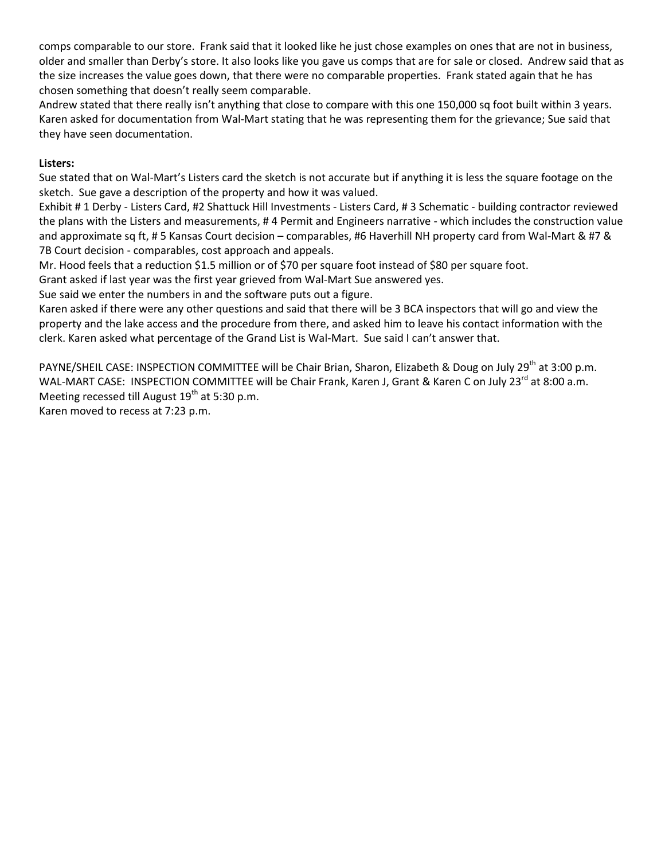comps comparable to our store. Frank said that it looked like he just chose examples on ones that are not in business, older and smaller than Derby's store. It also looks like you gave us comps that are for sale or closed. Andrew said that as the size increases the value goes down, that there were no comparable properties. Frank stated again that he has chosen something that doesn't really seem comparable.

Andrew stated that there really isn't anything that close to compare with this one 150,000 sq foot built within 3 years. Karen asked for documentation from Wal-Mart stating that he was representing them for the grievance; Sue said that they have seen documentation.

# **Listers:**

Sue stated that on Wal-Mart's Listers card the sketch is not accurate but if anything it is less the square footage on the sketch. Sue gave a description of the property and how it was valued.

Exhibit # 1 Derby - Listers Card, #2 Shattuck Hill Investments - Listers Card, # 3 Schematic - building contractor reviewed the plans with the Listers and measurements, # 4 Permit and Engineers narrative - which includes the construction value and approximate sq ft, # 5 Kansas Court decision – comparables, #6 Haverhill NH property card from Wal-Mart & #7 & 7B Court decision - comparables, cost approach and appeals.

Mr. Hood feels that a reduction \$1.5 million or of \$70 per square foot instead of \$80 per square foot.

Grant asked if last year was the first year grieved from Wal-Mart Sue answered yes.

Sue said we enter the numbers in and the software puts out a figure.

Karen asked if there were any other questions and said that there will be 3 BCA inspectors that will go and view the property and the lake access and the procedure from there, and asked him to leave his contact information with the clerk. Karen asked what percentage of the Grand List is Wal-Mart. Sue said I can't answer that.

PAYNE/SHEIL CASE: INSPECTION COMMITTEE will be Chair Brian, Sharon, Elizabeth & Doug on July 29<sup>th</sup> at 3:00 p.m. WAL-MART CASE: INSPECTION COMMITTEE will be Chair Frank, Karen J, Grant & Karen C on July 23<sup>rd</sup> at 8:00 a.m. Meeting recessed till August  $19<sup>th</sup>$  at 5:30 p.m.

Karen moved to recess at 7:23 p.m.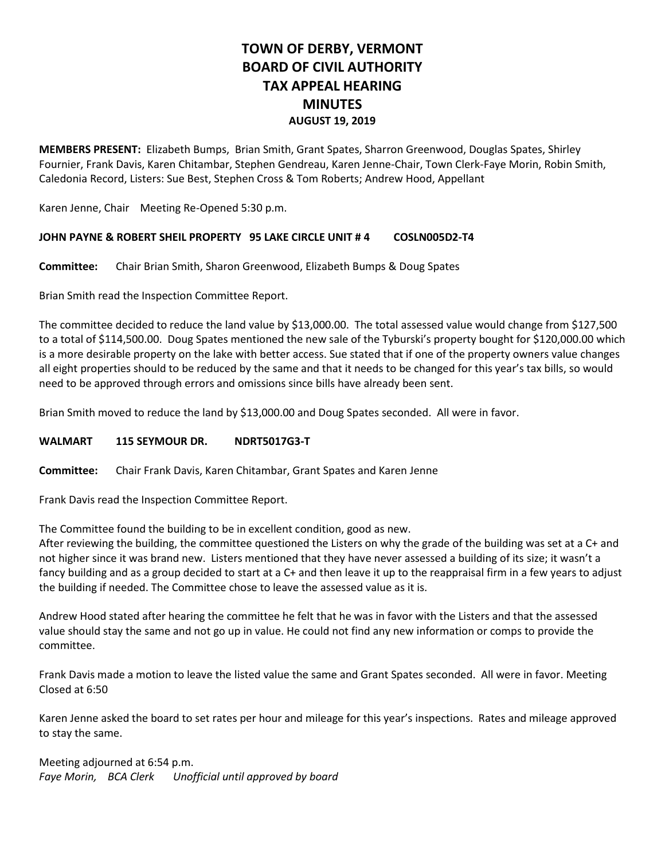# **TOWN OF DERBY, VERMONT BOARD OF CIVIL AUTHORITY TAX APPEAL HEARING MINUTES AUGUST 19, 2019**

**MEMBERS PRESENT:** Elizabeth Bumps, Brian Smith, Grant Spates, Sharron Greenwood, Douglas Spates, Shirley Fournier, Frank Davis, Karen Chitambar, Stephen Gendreau, Karen Jenne-Chair, Town Clerk-Faye Morin, Robin Smith, Caledonia Record, Listers: Sue Best, Stephen Cross & Tom Roberts; Andrew Hood, Appellant

Karen Jenne, Chair Meeting Re-Opened 5:30 p.m.

#### **JOHN PAYNE & ROBERT SHEIL PROPERTY 95 LAKE CIRCLE UNIT # 4 COSLN005D2-T4**

**Committee:** Chair Brian Smith, Sharon Greenwood, Elizabeth Bumps & Doug Spates

Brian Smith read the Inspection Committee Report.

The committee decided to reduce the land value by \$13,000.00. The total assessed value would change from \$127,500 to a total of \$114,500.00. Doug Spates mentioned the new sale of the Tyburski's property bought for \$120,000.00 which is a more desirable property on the lake with better access. Sue stated that if one of the property owners value changes all eight properties should to be reduced by the same and that it needs to be changed for this year's tax bills, so would need to be approved through errors and omissions since bills have already been sent.

Brian Smith moved to reduce the land by \$13,000.00 and Doug Spates seconded. All were in favor.

#### **WALMART 115 SEYMOUR DR. NDRT5017G3-T**

**Committee:** Chair Frank Davis, Karen Chitambar, Grant Spates and Karen Jenne

Frank Davis read the Inspection Committee Report.

The Committee found the building to be in excellent condition, good as new.

After reviewing the building, the committee questioned the Listers on why the grade of the building was set at a C+ and not higher since it was brand new. Listers mentioned that they have never assessed a building of its size; it wasn't a fancy building and as a group decided to start at a C+ and then leave it up to the reappraisal firm in a few years to adjust the building if needed. The Committee chose to leave the assessed value as it is.

Andrew Hood stated after hearing the committee he felt that he was in favor with the Listers and that the assessed value should stay the same and not go up in value. He could not find any new information or comps to provide the committee.

Frank Davis made a motion to leave the listed value the same and Grant Spates seconded. All were in favor. Meeting Closed at 6:50

Karen Jenne asked the board to set rates per hour and mileage for this year's inspections. Rates and mileage approved to stay the same.

Meeting adjourned at 6:54 p.m. *Faye Morin, BCA Clerk Unofficial until approved by board*